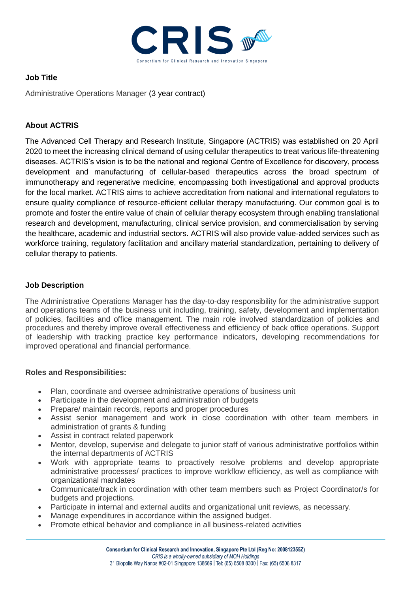

## **Job Title**

Administrative Operations Manager (3 year contract)

# **About ACTRIS**

The Advanced Cell Therapy and Research Institute, Singapore (ACTRIS) was established on 20 April 2020 to meet the increasing clinical demand of using cellular therapeutics to treat various life-threatening diseases. ACTRIS's vision is to be the national and regional Centre of Excellence for discovery, process development and manufacturing of cellular-based therapeutics across the broad spectrum of immunotherapy and regenerative medicine, encompassing both investigational and approval products for the local market. ACTRIS aims to achieve accreditation from national and international regulators to ensure quality compliance of resource-efficient cellular therapy manufacturing. Our common goal is to promote and foster the entire value of chain of cellular therapy ecosystem through enabling translational research and development, manufacturing, clinical service provision, and commercialisation by serving the healthcare, academic and industrial sectors. ACTRIS will also provide value-added services such as workforce training, regulatory facilitation and ancillary material standardization, pertaining to delivery of cellular therapy to patients.

## **Job Description**

The Administrative Operations Manager has the day-to-day responsibility for the administrative support and operations teams of the business unit including, training, safety, development and implementation of policies, facilities and office management. The main role involved standardization of policies and procedures and thereby improve overall effectiveness and efficiency of back office operations. Support of leadership with tracking practice key performance indicators, developing recommendations for improved operational and financial performance.

## **Roles and Responsibilities:**

- Plan, coordinate and oversee administrative operations of business unit
- Participate in the development and administration of budgets
- Prepare/ maintain records, reports and proper procedures
- Assist senior management and work in close coordination with other team members in administration of grants & funding
- Assist in contract related paperwork
- Mentor, develop, supervise and delegate to junior staff of various administrative portfolios within the internal departments of ACTRIS
- Work with appropriate teams to proactively resolve problems and develop appropriate administrative processes/ practices to improve workflow efficiency, as well as compliance with organizational mandates
- Communicate/track in coordination with other team members such as Project Coordinator/s for budgets and projections.
- Participate in internal and external audits and organizational unit reviews, as necessary.
- Manage expenditures in accordance within the assigned budget.
- Promote ethical behavior and compliance in all business-related activities